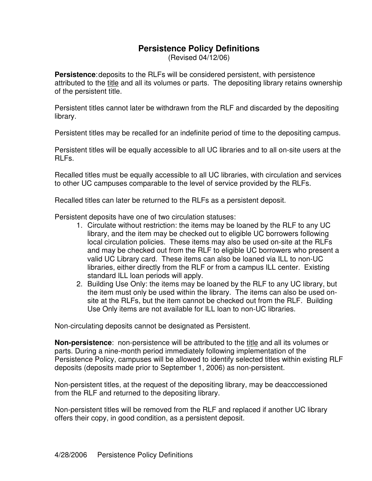## **Persistence Policy Definitions**

(Revised 04/12/06)

**Persistence**:deposits to the RLFs will be considered persistent, with persistence attributed to the title and all its volumes or parts. The depositing library retains ownership of the persistent title.

Persistent titles cannot later be withdrawn from the RLF and discarded by the depositing library.

Persistent titles may be recalled for an indefinite period of time to the depositing campus.

Persistent titles will be equally accessible to all UC libraries and to all on-site users at the RLFs.

Recalled titles must be equally accessible to all UC libraries, with circulation and services to other UC campuses comparable to the level of service provided by the RLFs.

Recalled titles can later be returned to the RLFs as a persistent deposit.

Persistent deposits have one of two circulation statuses:

- 1. Circulate without restriction: the items may be loaned by the RLF to any UC library, and the item may be checked out to eligible UC borrowers following local circulation policies. These items may also be used on-site at the RLFs and may be checked out from the RLF to eligible UC borrowers who present a valid UC Library card. These items can also be loaned via ILL to non-UC libraries, either directly from the RLF or from a campus ILL center. Existing standard ILL loan periods will apply.
- 2. Building Use Only: the items may be loaned by the RLF to any UC library, but the item must only be used within the library. The items can also be used onsite at the RLFs, but the item cannot be checked out from the RLF. Building Use Only items are not available for ILL loan to non-UC libraries.

Non-circulating deposits cannot be designated as Persistent.

**Non-persistence**: non-persistence will be attributed to the title and all its volumes or parts. During a nine-month period immediately following implementation of the Persistence Policy, campuses will be allowed to identify selected titles within existing RLF deposits (deposits made prior to September 1, 2006) as non-persistent.

Non-persistent titles, at the request of the depositing library, may be deacccessioned from the RLF and returned to the depositing library.

Non-persistent titles will be removed from the RLF and replaced if another UC library offers their copy, in good condition, as a persistent deposit.